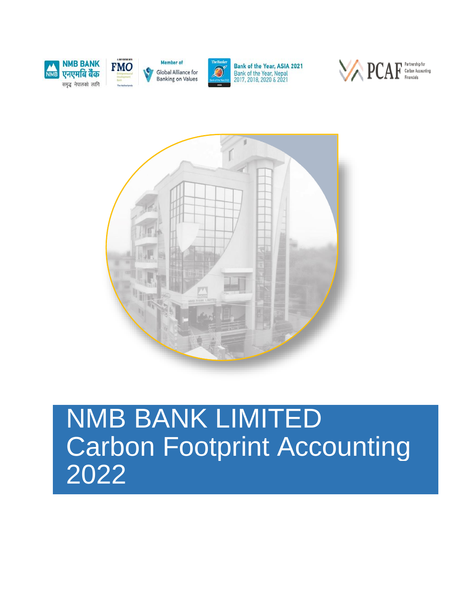



Member of Global Alliance for **Banking on Values** 



Bank of the Year, ASIA 2021 Bank of the Year, Nepal<br>2017, 2018, 2020 & 2021





# NMB BANK LIMITED Carbon Footprint Accounting 2022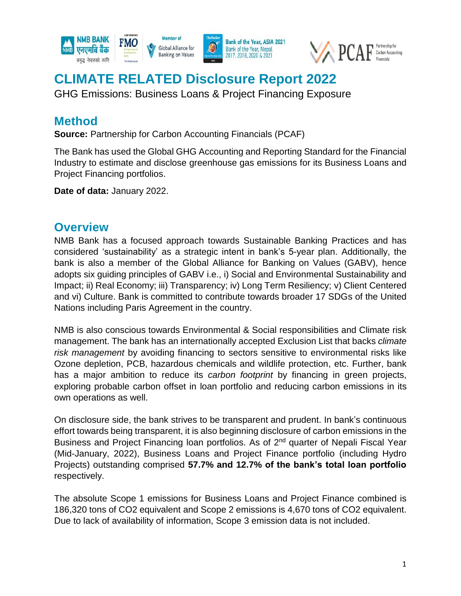

# **CLIMATE RELATED Disclosure Report 2022**

GHG Emissions: Business Loans & Project Financing Exposure

#### **Method**

**Source:** Partnership for Carbon Accounting Financials (PCAF)

The Bank has used the Global GHG Accounting and Reporting Standard for the Financial Industry to estimate and disclose greenhouse gas emissions for its Business Loans and Project Financing portfolios.

**Date of data:** January 2022.

#### **Overview**

NMB Bank has a focused approach towards Sustainable Banking Practices and has considered 'sustainability' as a strategic intent in bank's 5-year plan. Additionally, the bank is also a member of the Global Alliance for Banking on Values (GABV), hence adopts six guiding principles of GABV i.e., i) Social and Environmental Sustainability and Impact; ii) Real Economy; iii) Transparency; iv) Long Term Resiliency; v) Client Centered and vi) Culture. Bank is committed to contribute towards broader 17 SDGs of the United Nations including Paris Agreement in the country.

NMB is also conscious towards Environmental & Social responsibilities and Climate risk management. The bank has an internationally accepted Exclusion List that backs *climate risk management* by avoiding financing to sectors sensitive to environmental risks like Ozone depletion, PCB, hazardous chemicals and wildlife protection, etc. Further, bank has a major ambition to reduce its *carbon footprint* by financing in green projects, exploring probable carbon offset in loan portfolio and reducing carbon emissions in its own operations as well.

On disclosure side, the bank strives to be transparent and prudent. In bank's continuous effort towards being transparent, it is also beginning disclosure of carbon emissions in the Business and Project Financing loan portfolios. As of 2<sup>nd</sup> quarter of Nepali Fiscal Year (Mid-January, 2022), Business Loans and Project Finance portfolio (including Hydro Projects) outstanding comprised **57.7% and 12.7% of the bank's total loan portfolio** respectively.

The absolute Scope 1 emissions for Business Loans and Project Finance combined is 186,320 tons of CO2 equivalent and Scope 2 emissions is 4,670 tons of CO2 equivalent. Due to lack of availability of information, Scope 3 emission data is not included.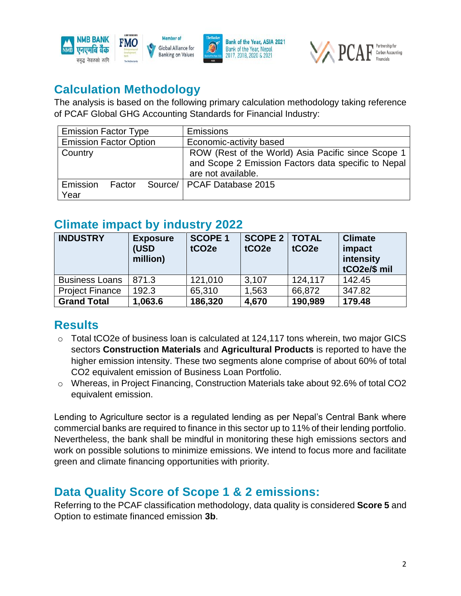



### **Calculation Methodology**

The analysis is based on the following primary calculation methodology taking reference of PCAF Global GHG Accounting Standards for Financial Industry:

| <b>Emission Factor Type</b>   |        |  | <b>Emissions</b>                                                                                                                |  |  |  |
|-------------------------------|--------|--|---------------------------------------------------------------------------------------------------------------------------------|--|--|--|
| <b>Emission Factor Option</b> |        |  | Economic-activity based                                                                                                         |  |  |  |
| Country                       |        |  | ROW (Rest of the World) Asia Pacific since Scope 1<br>and Scope 2 Emission Factors data specific to Nepal<br>are not available. |  |  |  |
| Emission<br>Year              | Factor |  | Source/   PCAF Database 2015                                                                                                    |  |  |  |

### **Climate impact by industry 2022**

| <b>INDUSTRY</b>        | <b>Exposure</b><br>(USD<br>million) | <b>SCOPE 1</b><br>tCO <sub>2e</sub> | <b>SCOPE 2   TOTAL</b><br>tCO <sub>2e</sub> | tCO <sub>2e</sub> | <b>Climate</b><br>impact<br>intensity<br>tCO2e/\$ mil |
|------------------------|-------------------------------------|-------------------------------------|---------------------------------------------|-------------------|-------------------------------------------------------|
| <b>Business Loans</b>  | 871.3                               | 121,010                             | 3,107                                       | 124,117           | 142.45                                                |
| <b>Project Finance</b> | 192.3                               | 65,310                              | 1,563                                       | 66,872            | 347.82                                                |
| <b>Grand Total</b>     | 1,063.6                             | 186,320                             | 4,670                                       | 190,989           | 179.48                                                |

## **Results**

- $\circ$  Total tCO2e of business loan is calculated at 124,117 tons wherein, two major GICS sectors **Construction Materials** and **Agricultural Products** is reported to have the higher emission intensity. These two segments alone comprise of about 60% of total CO2 equivalent emission of Business Loan Portfolio.
- o Whereas, in Project Financing, Construction Materials take about 92.6% of total CO2 equivalent emission.

Lending to Agriculture sector is a regulated lending as per Nepal's Central Bank where commercial banks are required to finance in this sector up to 11% of their lending portfolio. Nevertheless, the bank shall be mindful in monitoring these high emissions sectors and work on possible solutions to minimize emissions. We intend to focus more and facilitate green and climate financing opportunities with priority.

## **Data Quality Score of Scope 1 & 2 emissions:**

Referring to the PCAF classification methodology, data quality is considered **Score 5** and Option to estimate financed emission **3b**.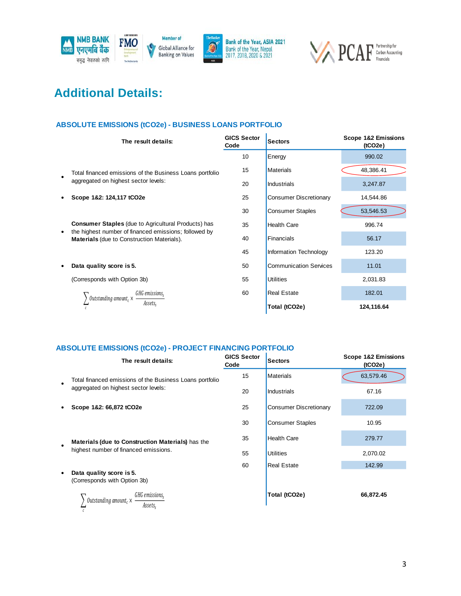



## **Additional Details:**

#### **ABSOLUTE EMISSIONS (tCO2e) - BUSINESS LOANS PORTFOLIO**

|           | The result details:                                                                                                                                                      | <b>GICS Sector</b><br>Code | <b>Sectors</b>                | Scope 1&2 Emissions<br>(tCO2e) |  |
|-----------|--------------------------------------------------------------------------------------------------------------------------------------------------------------------------|----------------------------|-------------------------------|--------------------------------|--|
|           |                                                                                                                                                                          | 10                         | Energy                        | 990.02                         |  |
| $\bullet$ | Total financed emissions of the Business Loans portfolio                                                                                                                 | 15                         | <b>Materials</b>              | 48,386.41                      |  |
|           | aggregated on highest sector levels:                                                                                                                                     | 20                         | Industrials                   | 3,247.87                       |  |
| $\bullet$ | Scope 1&2: 124,117 tCO2e                                                                                                                                                 | 25                         | <b>Consumer Discretionary</b> | 14,544.86                      |  |
|           |                                                                                                                                                                          | 30                         | <b>Consumer Staples</b>       | 53,546.53                      |  |
|           | <b>Consumer Staples (due to Agricultural Products) has</b><br>the highest number of financed emissions; followed by<br><b>Materials</b> (due to Construction Materials). | 35                         | <b>Health Care</b>            | 996.74                         |  |
| ٠         |                                                                                                                                                                          | 40                         | <b>Financials</b>             | 56.17                          |  |
|           |                                                                                                                                                                          | 45                         | Information Technology        | 123.20                         |  |
|           | Data quality score is 5.                                                                                                                                                 | 50                         | <b>Communication Services</b> | 11.01                          |  |
|           | (Corresponds with Option 3b)                                                                                                                                             | 55                         | <b>Utilities</b>              | 2,031.83                       |  |
|           | GHG emissions.<br>Outstanding amount, ×                                                                                                                                  | 60                         | <b>Real Estate</b>            | 182.01                         |  |
|           | Assets.                                                                                                                                                                  |                            | Total (tCO2e)                 | 124,116.64                     |  |

#### **ABSOLUTE EMISSIONS (tCO2e) - PROJECT FINANCING PORTFOLIO**

|           | The result details:                                      | <b>GICS Sector</b><br>Code | <b>Sectors</b>                | Scope 1&2 Emissions<br>(tCO2e) |
|-----------|----------------------------------------------------------|----------------------------|-------------------------------|--------------------------------|
| $\bullet$ | Total financed emissions of the Business Loans portfolio | 15                         | <b>Materials</b>              | 63,579.46                      |
|           | aggregated on highest sector levels:                     | 20                         | <b>Industrials</b>            | 67.16                          |
| ٠         | Scope 1&2: 66,872 tCO2e                                  | 25                         | <b>Consumer Discretionary</b> | 722.09                         |
|           |                                                          | 30                         | <b>Consumer Staples</b>       | 10.95                          |
| $\bullet$ | <b>Materials (due to Construction Materials)</b> has the | 35                         | <b>Health Care</b>            | 279.77                         |
|           | highest number of financed emissions.                    | 55                         | <b>Utilities</b>              | 2,070.02                       |
|           |                                                          | 60                         | <b>Real Estate</b>            | 142.99                         |
| $\bullet$ | Data quality score is 5.<br>(Corresponds with Option 3b) |                            |                               |                                |
|           | GHG emissions,<br>Outstanding amount, ×<br>Assets,       |                            | Total (tCO2e)                 | 66,872.45                      |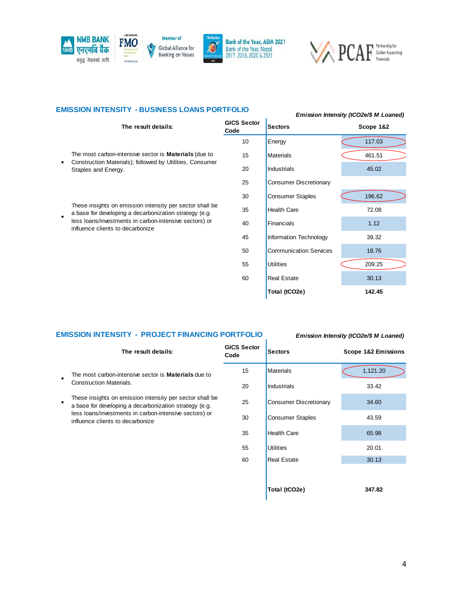





#### **EMISSION INTENSITY - BUSINESS LOANS PORTFOLIO** *Emission Intensity (tCO2e/\$ M Loaned)*

#### **The result details: GICS Sector Code Sectors Scope 1&2** 10 **Energy** 117.03 15 Materials 15 461.51 20 Industrials 45.02 25 Consumer Discretionary 30 Consumer Staples (196.62 35 Health Care 72.08 40 **Financials** 1.12 45 Information Technology 39.32 50 Communication Services 18.76 55 Utilities 209.25 60 Real Estate 30.13 **Total (tCO2e) 142.45** ●The most carbon-intensive sector is **Materials** (due to Construction Materials); followed by Utilities, Consumer Staples and Energy. ●These insights on emission intensity per sector shall be a base for developing a decarbonization strategy (e.g. less loans/investments in carbon-intensive sectors) or influence clients to decarbonize

#### **EMISSION INTENSITY - PROJECT FINANCING PORTFOLIO** *Emission Intensity (tCO2e/\$ M Loaned)*

|           | The result details:                                                                                                 | <b>GICS Sector</b><br>Code | <b>Sectors</b>                | Scope 1&2 Emissions |
|-----------|---------------------------------------------------------------------------------------------------------------------|----------------------------|-------------------------------|---------------------|
| $\bullet$ | The most carbon-intensive sector is <b>Materials</b> due to                                                         | 15                         | <b>Materials</b>              | 1,121.20            |
|           | <b>Construction Materials.</b>                                                                                      | 20                         | Industrials                   | 33.42               |
| $\bullet$ | These insights on emission intensity per sector shall be.<br>a base for developing a decarbonization strategy (e.g. | 25                         | <b>Consumer Discretionary</b> | 34.60               |
|           | less loans/investments in carbon-intensive sectors) or<br>influence clients to decarbonize                          | 30                         | <b>Consumer Staples</b>       | 43.59               |
|           |                                                                                                                     | 35                         | <b>Health Care</b>            | 65.98               |
|           |                                                                                                                     | 55                         | <b>Utilities</b>              | 20.01               |
|           |                                                                                                                     | 60                         | <b>Real Estate</b>            | 30.13               |
|           |                                                                                                                     |                            |                               |                     |
|           |                                                                                                                     |                            | Total (tCO2e)                 | 347.82              |